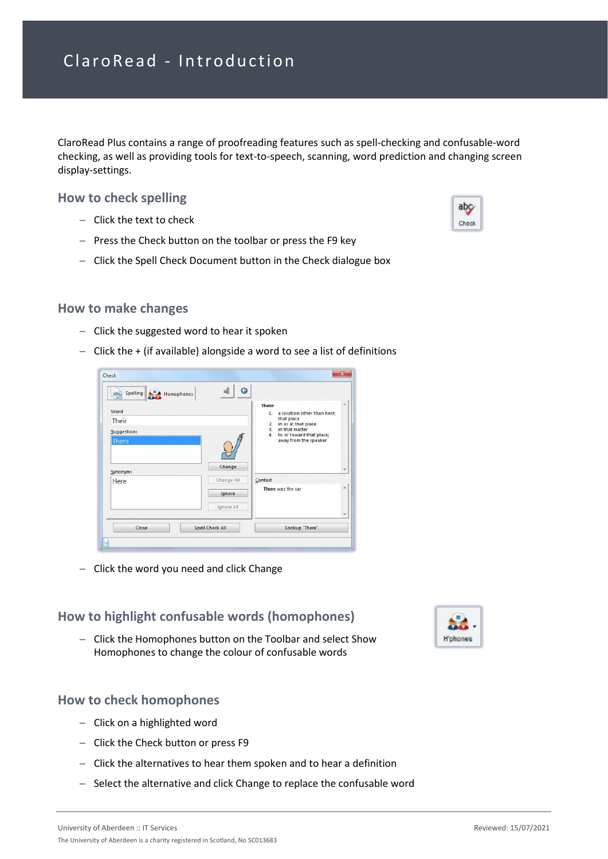ClaroRead Plus contains a range of proofreading features such as spell-checking and confusable-word checking, as well as providing tools for text-to-speech, scanning, word prediction and changing screen display-settings.

### **How to check spelling**

- − Click the text to check
- − Press the Check button on the toolbar or press the F9 key
- − Click the Spell Check Document button in the Check dialogue box

#### **How to make changes**

- − Click the suggested word to hear it spoken
- − Click the + (if available) alongside a word to see a list of definitions

|              | <b>There</b>                                           |  |
|--------------|--------------------------------------------------------|--|
| Word         | 1.<br>a location other than here;                      |  |
| Their        | that place<br>in or at that place<br>2.                |  |
| Suggestions  | in that matter<br>3.<br>4.<br>to or toward that place; |  |
| <b>There</b> | away from the speaker                                  |  |
|              |                                                        |  |
|              |                                                        |  |
| Synonyms     | Change                                                 |  |
| Here         | Change All<br>Context                                  |  |
|              | There was the car<br>Ignore                            |  |
|              |                                                        |  |
|              | Ignore All                                             |  |

− Click the word you need and click Change

# **How to highlight confusable words (homophones)**

− Click the Homophones button on the Toolbar and select Show Homophones to change the colour of confusable words

### **How to check homophones**

- − Click on a highlighted word
- − Click the Check button or press F9
- − Click the alternatives to hear them spoken and to hear a definition
- − Select the alternative and click Change to replace the confusable word